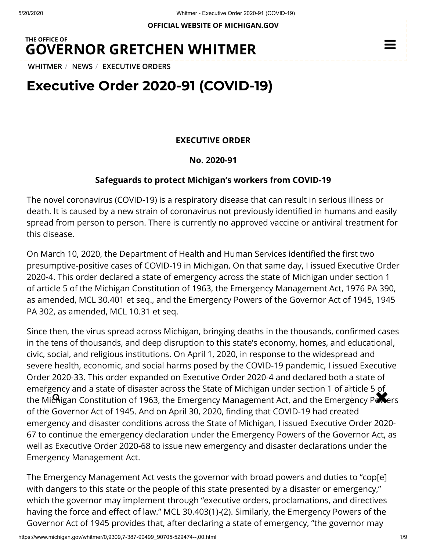**OFFICIAL WEBSITE OF [MICHIGAN.GOV](https://www.michigan.gov/)**

## **THE OFFICE OF GOVERNOR [GRETCHEN WHITMER](https://www.michigan.gov/whitmer/)**

**[WHITMER](https://www.michigan.gov/whitmer/)** / **[NEWS](https://www.michigan.gov/whitmer/0,9309,7-387-90499---,00.html)** / **[EXECUTIVE ORDERS](https://www.michigan.gov/whitmer/0,9309,7-387-90499_90705---,00.html)**

# **Executive Order 2020-91 (COVID-19)**

### **EXECUTIVE ORDER**

#### **No. 2020-91**

#### **Safeguards to protect Michigan's workers from COVID-19**

The novel coronavirus (COVID-19) is a respiratory disease that can result in serious illness or death. It is caused by a new strain of coronavirus not previously identified in humans and easily spread from person to person. There is currently no approved vaccine or antiviral treatment for this disease.

On March 10, 2020, the Department of Health and Human Services identified the first two presumptive-positive cases of COVID-19 in Michigan. On that same day, I issued Executive Order 2020-4. This order declared a state of emergency across the state of Michigan under section 1 of article 5 of the Michigan Constitution of 1963, the Emergency Management Act, 1976 PA 390, as amended, MCL 30.401 et seq., and the Emergency Powers of the Governor Act of 1945, 1945 PA 302, as amended, MCL 10.31 et seq.

Since then, the virus spread across Michigan, bringing deaths in the thousands, confirmed cases in the tens of thousands, and deep disruption to this state's economy, homes, and educational, civic, social, and religious institutions. On April 1, 2020, in response to the widespread and severe health, economic, and social harms posed by the COVID-19 pandemic, I issued Executive Order 2020-33. This order expanded on Executive Order 2020-4 and declared both a state of emergency and a state of disaster across the State of Michigan under section 1 of article 5 of effiel gency and a state of disaster across the state of Michigan difder section 1 or allicle 5 of<br>the Michigan Constitution of 1963, the Emergency Management Act, and the Emergency Powers of the Governor Act of 1945. And on April 30, 2020, finding that COVID-19 had created emergency and disaster conditions across the State of Michigan, I issued Executive Order 2020- 67 to continue the emergency declaration under the Emergency Powers of the Governor Act, as well as Executive Order 2020-68 to issue new emergency and disaster declarations under the Emergency Management Act.

The Emergency Management Act vests the governor with broad powers and duties to "cop[e] with dangers to this state or the people of this state presented by a disaster or emergency," which the governor may implement through "executive orders, proclamations, and directives having the force and effect of law." MCL 30.403(1)-(2). Similarly, the Emergency Powers of the Governor Act of 1945 provides that, after declaring a state of emergency, "the governor may

 $\equiv$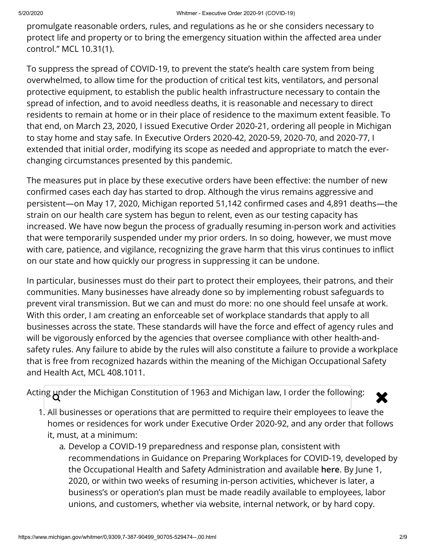promulgate reasonable orders, rules, and regulations as he or she considers necessary to protect life and property or to bring the emergency situation within the affected area under control." MCL 10.31(1).

To suppress the spread of COVID-19, to prevent the state's health care system from being overwhelmed, to allow time for the production of critical test kits, ventilators, and personal protective equipment, to establish the public health infrastructure necessary to contain the spread of infection, and to avoid needless deaths, it is reasonable and necessary to direct residents to remain at home or in their place of residence to the maximum extent feasible. To that end, on March 23, 2020, I issued Executive Order 2020-21, ordering all people in Michigan to stay home and stay safe. In Executive Orders 2020-42, 2020-59, 2020-70, and 2020-77, I extended that initial order, modifying its scope as needed and appropriate to match the everchanging circumstances presented by this pandemic.

The measures put in place by these executive orders have been effective: the number of new confirmed cases each day has started to drop. Although the virus remains aggressive and persistent—on May 17, 2020, Michigan reported 51,142 confirmed cases and 4,891 deaths—the strain on our health care system has begun to relent, even as our testing capacity has increased. We have now begun the process of gradually resuming in-person work and activities that were temporarily suspended under my prior orders. In so doing, however, we must move with care, patience, and vigilance, recognizing the grave harm that this virus continues to inflict on our state and how quickly our progress in suppressing it can be undone.

In particular, businesses must do their part to protect their employees, their patrons, and their communities. Many businesses have already done so by implementing robust safeguards to prevent viral transmission. But we can and must do more: no one should feel unsafe at work. With this order, I am creating an enforceable set of workplace standards that apply to all businesses across the state. These standards will have the force and effect of agency rules and will be vigorously enforced by the agencies that oversee compliance with other health-andsafety rules. Any failure to abide by the rules will also constitute a failure to provide a workplace that is free from recognized hazards within the meaning of the Michigan Occupational Safety and Health Act, MCL 408.1011.

Acting under the Michigan Constitution of 1963 and Michigan law, I order the following:  $\bigotimes$ 



- 1. All businesses or operations that are permitted to require their employees to leave the homes or residences for work under Executive Order 2020-92, and any order that follows it, must, at a minimum:
	- a. Develop a COVID-19 preparedness and response plan, consistent with recommendations in Guidance on Preparing Workplaces for COVID-19, developed by the Occupational Health and Safety Administration and available **[here](https://www.osha.gov/Publications/OSHA3990.pdf)**. By June 1, 2020, or within two weeks of resuming in-person activities, whichever is later, a business's or operation's plan must be made readily available to employees, labor unions, and customers, whether via website, internal network, or by hard copy.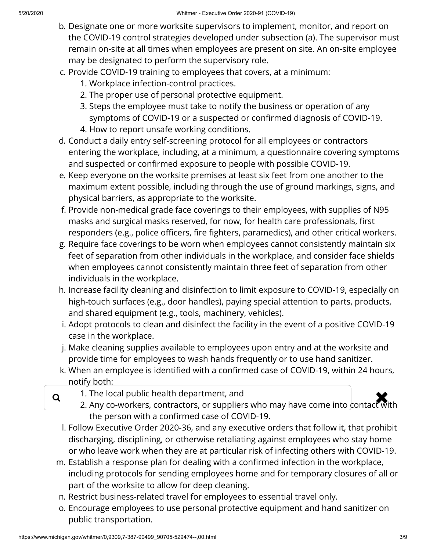- b. Designate one or more worksite supervisors to implement, monitor, and report on the COVID-19 control strategies developed under subsection (a). The supervisor must remain on-site at all times when employees are present on site. An on-site employee may be designated to perform the supervisory role.
- c. Provide COVID-19 training to employees that covers, at a minimum:
	- 1. Workplace infection-control practices.
	- 2. The proper use of personal protective equipment.
	- 3. Steps the employee must take to notify the business or operation of any symptoms of COVID-19 or a suspected or confirmed diagnosis of COVID-19.
	- 4. How to report unsafe working conditions.
- d. Conduct a daily entry self-screening protocol for all employees or contractors entering the workplace, including, at a minimum, a questionnaire covering symptoms and suspected or confirmed exposure to people with possible COVID-19.
- e. Keep everyone on the worksite premises at least six feet from one another to the maximum extent possible, including through the use of ground markings, signs, and physical barriers, as appropriate to the worksite.
- f. Provide non-medical grade face coverings to their employees, with supplies of N95 masks and surgical masks reserved, for now, for health care professionals, first responders (e.g., police officers, fire fighters, paramedics), and other critical workers.
- g. Require face coverings to be worn when employees cannot consistently maintain six feet of separation from other individuals in the workplace, and consider face shields when employees cannot consistently maintain three feet of separation from other individuals in the workplace.
- h. Increase facility cleaning and disinfection to limit exposure to COVID-19, especially on high-touch surfaces (e.g., door handles), paying special attention to parts, products, and shared equipment (e.g., tools, machinery, vehicles).
- i. Adopt protocols to clean and disinfect the facility in the event of a positive COVID-19 case in the workplace.
- j. Make cleaning supplies available to employees upon entry and at the worksite and provide time for employees to wash hands frequently or to use hand sanitizer.
- k. When an employee is identified with a confirmed case of COVID-19, within 24 hours, notify both:
- 1. The local public health department, and
- $\alpha$  and the local public health department, and any have come into contact with  $\alpha$  . Any co-workers, contractors, or suppliers who may have come into contact with the person with a confirmed case of COVID-19.
	- l. Follow Executive Order 2020-36, and any executive orders that follow it, that prohibit discharging, disciplining, or otherwise retaliating against employees who stay home or who leave work when they are at particular risk of infecting others with COVID-19.
- m. Establish a response plan for dealing with a confirmed infection in the workplace, including protocols for sending employees home and for temporary closures of all or part of the worksite to allow for deep cleaning.
- n. Restrict business-related travel for employees to essential travel only.
- o. Encourage employees to use personal protective equipment and hand sanitizer on public transportation.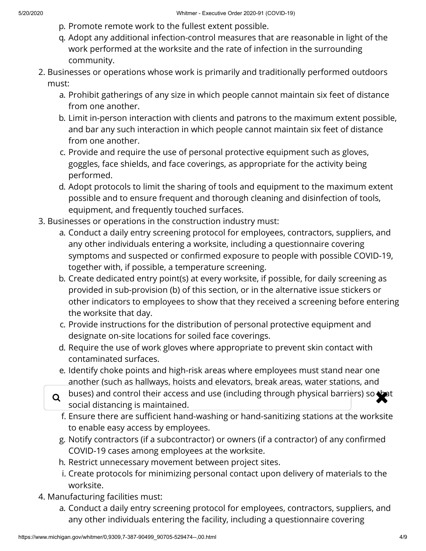- p. Promote remote work to the fullest extent possible.
- q. Adopt any additional infection-control measures that are reasonable in light of the work performed at the worksite and the rate of infection in the surrounding community.
- 2. Businesses or operations whose work is primarily and traditionally performed outdoors must:
	- a. Prohibit gatherings of any size in which people cannot maintain six feet of distance from one another.
	- b. Limit in-person interaction with clients and patrons to the maximum extent possible, and bar any such interaction in which people cannot maintain six feet of distance from one another.
	- c. Provide and require the use of personal protective equipment such as gloves, goggles, face shields, and face coverings, as appropriate for the activity being performed.
	- d. Adopt protocols to limit the sharing of tools and equipment to the maximum extent possible and to ensure frequent and thorough cleaning and disinfection of tools, equipment, and frequently touched surfaces.
- 3. Businesses or operations in the construction industry must:
	- a. Conduct a daily entry screening protocol for employees, contractors, suppliers, and any other individuals entering a worksite, including a questionnaire covering symptoms and suspected or confirmed exposure to people with possible COVID-19, together with, if possible, a temperature screening.
	- b. Create dedicated entry point(s) at every worksite, if possible, for daily screening as provided in sub-provision (b) of this section, or in the alternative issue stickers or other indicators to employees to show that they received a screening before entering the worksite that day.
	- c. Provide instructions for the distribution of personal protective equipment and designate on-site locations for soiled face coverings.
	- d. Require the use of work gloves where appropriate to prevent skin contact with contaminated surfaces.
	- e. Identify choke points and high-risk areas where employees must stand near one another (such as hallways, hoists and elevators, break areas, water stations, and
	- $\alpha$  buses) and control their access and use (including through physical barriers) so that  $\alpha$ social distancing is maintained.
		- f. Ensure there are sufficient hand-washing or hand-sanitizing stations at the worksite to enable easy access by employees.
		- g. Notify contractors (if a subcontractor) or owners (if a contractor) of any confirmed COVID-19 cases among employees at the worksite.
		- h. Restrict unnecessary movement between project sites.
		- i. Create protocols for minimizing personal contact upon delivery of materials to the worksite.
- 4. Manufacturing facilities must:
	- a. Conduct a daily entry screening protocol for employees, contractors, suppliers, and any other individuals entering the facility, including a questionnaire covering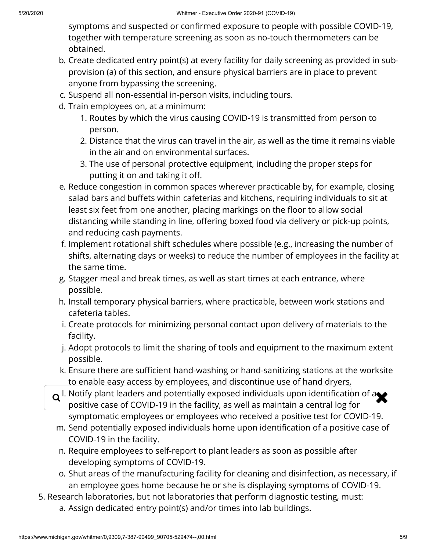symptoms and suspected or confirmed exposure to people with possible COVID-19, together with temperature screening as soon as no-touch thermometers can be obtained.

- b. Create dedicated entry point(s) at every facility for daily screening as provided in subprovision (a) of this section, and ensure physical barriers are in place to prevent anyone from bypassing the screening.
- c. Suspend all non-essential in-person visits, including tours.
- d. Train employees on, at a minimum:
	- 1. Routes by which the virus causing COVID-19 is transmitted from person to person.
	- 2. Distance that the virus can travel in the air, as well as the time it remains viable in the air and on environmental surfaces.
	- 3. The use of personal protective equipment, including the proper steps for putting it on and taking it off.
- e. Reduce congestion in common spaces wherever practicable by, for example, closing salad bars and buffets within cafeterias and kitchens, requiring individuals to sit at least six feet from one another, placing markings on the floor to allow social distancing while standing in line, offering boxed food via delivery or pick-up points, and reducing cash payments.
- f. Implement rotational shift schedules where possible (e.g., increasing the number of shifts, alternating days or weeks) to reduce the number of employees in the facility at the same time.
- g. Stagger meal and break times, as well as start times at each entrance, where possible.
- h. Install temporary physical barriers, where practicable, between work stations and cafeteria tables.
- i. Create protocols for minimizing personal contact upon delivery of materials to the facility.
- j. Adopt protocols to limit the sharing of tools and equipment to the maximum extent possible.
- k. Ensure there are sufficient hand-washing or hand-sanitizing stations at the worksite to enable easy access by employees, and discontinue use of hand dryers.
- $\alpha$  l. Notify plant leaders and potentially exposed individuals upon identification of a<br>nositive case of COVID-19 in the facility, as well as maintain a central log for positive case of COVID-19 in the facility, as well as maintain a central log for symptomatic employees or employees who received a positive test for COVID-19.
- m. Send potentially exposed individuals home upon identification of a positive case of COVID-19 in the facility.
- n. Require employees to self-report to plant leaders as soon as possible after developing symptoms of COVID-19.
- o. Shut areas of the manufacturing facility for cleaning and disinfection, as necessary, if an employee goes home because he or she is displaying symptoms of COVID-19.
- 5. Research laboratories, but not laboratories that perform diagnostic testing, must:
	- a. Assign dedicated entry point(s) and/or times into lab buildings.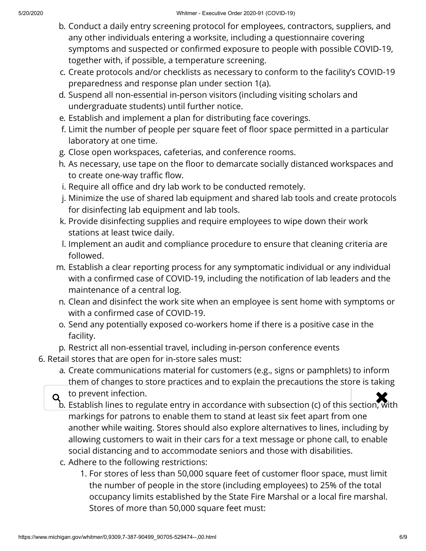- b. Conduct a daily entry screening protocol for employees, contractors, suppliers, and any other individuals entering a worksite, including a questionnaire covering symptoms and suspected or confirmed exposure to people with possible COVID-19, together with, if possible, a temperature screening.
- c. Create protocols and/or checklists as necessary to conform to the facility's COVID-19 preparedness and response plan under section 1(a).
- d. Suspend all non-essential in-person visitors (including visiting scholars and undergraduate students) until further notice.
- e. Establish and implement a plan for distributing face coverings.
- f. Limit the number of people per square feet of floor space permitted in a particular laboratory at one time.
- g. Close open workspaces, cafeterias, and conference rooms.
- h. As necessary, use tape on the floor to demarcate socially distanced workspaces and to create one-way traffic flow.
- i. Require all office and dry lab work to be conducted remotely.
- j. Minimize the use of shared lab equipment and shared lab tools and create protocols for disinfecting lab equipment and lab tools.
- k. Provide disinfecting supplies and require employees to wipe down their work stations at least twice daily.
- l. Implement an audit and compliance procedure to ensure that cleaning criteria are followed.
- m. Establish a clear reporting process for any symptomatic individual or any individual with a confirmed case of COVID-19, including the notification of lab leaders and the maintenance of a central log.
- n. Clean and disinfect the work site when an employee is sent home with symptoms or with a confirmed case of COVID-19.
- o. Send any potentially exposed co-workers home if there is a positive case in the facility.
- p. Restrict all non-essential travel, including in-person conference events
- 6. Retail stores that are open for in-store sales must:
	- a. Create communications material for customers (e.g., signs or pamphlets) to inform them of changes to store practices and to explain the precautions the store is taking

to prevent infection.

- $\alpha$  to prevent infection.<br>b. Establish lines to regulate entry in accordance with subsection (c) of this section, with markings for patrons to enable them to stand at least six feet apart from one another while waiting. Stores should also explore alternatives to lines, including by allowing customers to wait in their cars for a text message or phone call, to enable social distancing and to accommodate seniors and those with disabilities.
	- c. Adhere to the following restrictions:
		- 1. For stores of less than 50,000 square feet of customer floor space, must limit the number of people in the store (including employees) to 25% of the total occupancy limits established by the State Fire Marshal or a local fire marshal. Stores of more than 50,000 square feet must: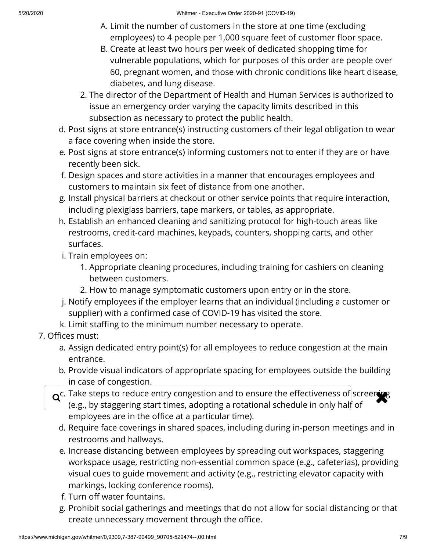- A. Limit the number of customers in the store at one time (excluding employees) to 4 people per 1,000 square feet of customer floor space.
- B. Create at least two hours per week of dedicated shopping time for vulnerable populations, which for purposes of this order are people over 60, pregnant women, and those with chronic conditions like heart disease, diabetes, and lung disease.
- 2. The director of the Department of Health and Human Services is authorized to issue an emergency order varying the capacity limits described in this subsection as necessary to protect the public health.
- d. Post signs at store entrance(s) instructing customers of their legal obligation to wear a face covering when inside the store.
- e. Post signs at store entrance(s) informing customers not to enter if they are or have recently been sick.
- f. Design spaces and store activities in a manner that encourages employees and customers to maintain six feet of distance from one another.
- g. Install physical barriers at checkout or other service points that require interaction, including plexiglass barriers, tape markers, or tables, as appropriate.
- h. Establish an enhanced cleaning and sanitizing protocol for high-touch areas like restrooms, credit-card machines, keypads, counters, shopping carts, and other surfaces.
- i. Train employees on:
	- 1. Appropriate cleaning procedures, including training for cashiers on cleaning between customers.
	- 2. How to manage symptomatic customers upon entry or in the store.
- j. Notify employees if the employer learns that an individual (including a customer or supplier) with a confirmed case of COVID-19 has visited the store.
- k. Limit staffing to the minimum number necessary to operate.
- 7. Offices must:
	- a. Assign dedicated entry point(s) for all employees to reduce congestion at the main entrance.
	- b. Provide visual indicators of appropriate spacing for employees outside the building in case of congestion.
	- $Q^c$ . Take steps to reduce entry congestion and to ensure the effectiveness of screening<br>(e.g., by staggering start times, adopting a rotational schedule in only half of (e.g., by staggering start times, adopting a rotational schedule in only half of employees are in the office at a particular time).
		- d. Require face coverings in shared spaces, including during in-person meetings and in restrooms and hallways.
		- e. Increase distancing between employees by spreading out workspaces, staggering workspace usage, restricting non-essential common space (e.g., cafeterias), providing visual cues to guide movement and activity (e.g., restricting elevator capacity with markings, locking conference rooms).
		- f. Turn off water fountains.
		- g. Prohibit social gatherings and meetings that do not allow for social distancing or that create unnecessary movement through the office.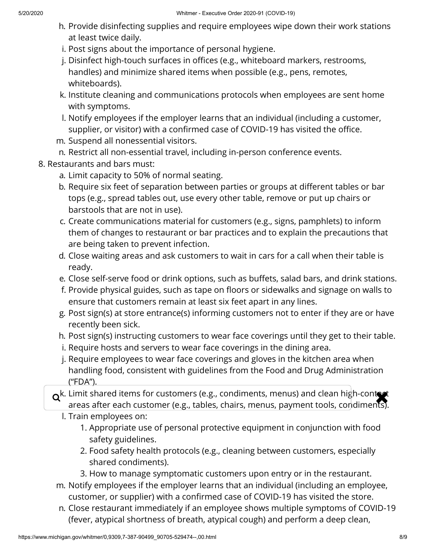- h. Provide disinfecting supplies and require employees wipe down their work stations at least twice daily.
- i. Post signs about the importance of personal hygiene.
- j. Disinfect high-touch surfaces in offices (e.g., whiteboard markers, restrooms, handles) and minimize shared items when possible (e.g., pens, remotes, whiteboards).
- k. Institute cleaning and communications protocols when employees are sent home with symptoms.
- l. Notify employees if the employer learns that an individual (including a customer, supplier, or visitor) with a confirmed case of COVID-19 has visited the office.
- m. Suspend all nonessential visitors.
- n. Restrict all non-essential travel, including in-person conference events.
- 8. Restaurants and bars must:
	- a. Limit capacity to 50% of normal seating.
	- b. Require six feet of separation between parties or groups at different tables or bar tops (e.g., spread tables out, use every other table, remove or put up chairs or barstools that are not in use).
	- c. Create communications material for customers (e.g., signs, pamphlets) to inform them of changes to restaurant or bar practices and to explain the precautions that are being taken to prevent infection.
	- d. Close waiting areas and ask customers to wait in cars for a call when their table is ready.
	- e. Close self-serve food or drink options, such as buffets, salad bars, and drink stations.
	- f. Provide physical guides, such as tape on floors or sidewalks and signage on walls to ensure that customers remain at least six feet apart in any lines.
	- g. Post sign(s) at store entrance(s) informing customers not to enter if they are or have recently been sick.
	- h. Post sign(s) instructing customers to wear face coverings until they get to their table.
	- i. Require hosts and servers to wear face coverings in the dining area.
	- j. Require employees to wear face coverings and gloves in the kitchen area when handling food, consistent with guidelines from the Food and Drug Administration ("FDA").
	- $\alpha^{k}$ . Limit shared items for customers (e.g., condiments, menus) and clean high-contact areas after each customer (e.g., tables, chairs, menus, nayment tools, condiments) areas after each customer (e.g., tables, chairs, menus, payment tools, condiments).
		- l. Train employees on:
			- 1. Appropriate use of personal protective equipment in conjunction with food safety guidelines.
			- 2. Food safety health protocols (e.g., cleaning between customers, especially shared condiments).
			- 3. How to manage symptomatic customers upon entry or in the restaurant.
	- m. Notify employees if the employer learns that an individual (including an employee, customer, or supplier) with a confirmed case of COVID-19 has visited the store.
	- n. Close restaurant immediately if an employee shows multiple symptoms of COVID-19 (fever, atypical shortness of breath, atypical cough) and perform a deep clean,